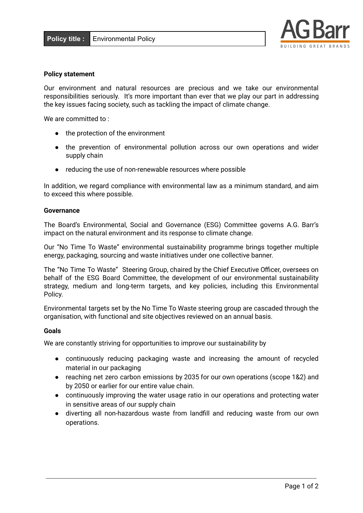

### **Policy statement**

Our environment and natural resources are precious and we take our environmental responsibilities seriously. It's more important than ever that we play our part in addressing the key issues facing society, such as tackling the impact of climate change.

We are committed to:

- the protection of the environment
- the prevention of environmental pollution across our own operations and wider supply chain
- reducing the use of non-renewable resources where possible

In addition, we regard compliance with environmental law as a minimum standard, and aim to exceed this where possible.

#### **Governance**

The Board's Environmental, Social and Governance (ESG) Committee governs A.G. Barr's impact on the natural environment and its response to climate change.

Our "No Time To Waste" environmental sustainability programme brings together multiple energy, packaging, sourcing and waste initiatives under one collective banner.

The "No Time To Waste" Steering Group, chaired by the Chief Executive Officer, oversees on behalf of the ESG Board Committee, the development of our environmental sustainability strategy, medium and long-term targets, and key policies, including this Environmental Policy.

Environmental targets set by the No Time To Waste steering group are cascaded through the organisation, with functional and site objectives reviewed on an annual basis.

#### **Goals**

We are constantly striving for opportunities to improve our sustainability by

- continuously reducing packaging waste and increasing the amount of recycled material in our packaging
- reaching net zero carbon emissions by 2035 for our own operations (scope 1&2) and by 2050 or earlier for our entire value chain.
- continuously improving the water usage ratio in our operations and protecting water in sensitive areas of our supply chain
- diverting all non-hazardous waste from landfill and reducing waste from our own operations.